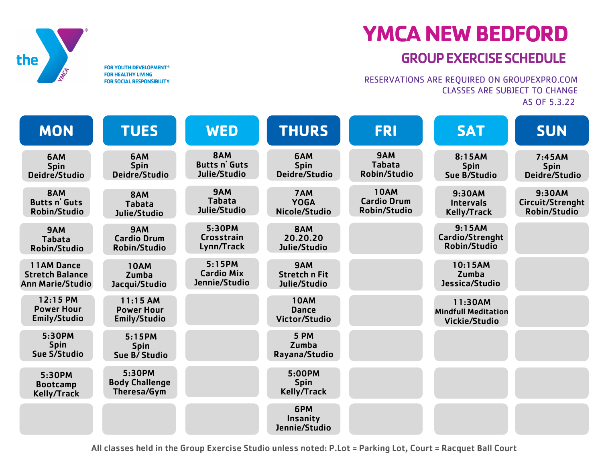

## **YMCA NEW BEDFORD**

## GROUPEXERCISESCHEDULE

RESERVATIONS ARE REQUIRED ON GROUPEXPRO.COM CLASSES ARE SUBJECT TO CHANGE AS OF 5.3.22

**MON TUES WED THURS FRI SAT SUN** 6AM Spin Deidre/Studio 6AM Spin Deidre/Studio 8AM Butts n' Guts Robin/Studio 6AM Spin Deidre/Studio 8AM Butts n' Guts Julie/Studio 9AM Tabata Julie/Studio 9:30AM Intervals Kelly/Track 10AM **Dance** Victor/Studio 9AM Cardio Drum Robin/Studio 8AM Tabata Julie/Studio 5:30PM Crosstrain Lynn/Track 5:15PM Cardio Mix Jennie/Studio 7AM YOGA Nicole/Studio 8AM 20.20.20 Julie/Studio 9AM Stretch n Fit Julie/Studio 10AM Zumba Jacqui/Studio 5 PM Zumba Rayana/Studio 5:00PM Spin Kelly/Track 6PM Insanity Jennie/Studio 9AM Tabata Robin/Studio 8:15AM Spin Sue B/Studio 9:15AM Cardio/Strenght Robin/Studio 10:15AM Zumba Jessica/Studio 7:45AM Spin Deidre/Studio 9:30AM Circuit/Strenght Robin/Studio 10AM Cardio Drum Robin/Studio 12:15 PM Power Hour Emily/Studio 5:30PM Bootcamp Kelly/Track 5:30PM Spin Sue S/Studio 11AM Dance Stretch Balance Ann Marie/Studio 9AM Tabata Robin/Studio 5:15PM 5:15PM Spin Spin Sue B/Studio  $11:15$  AM Power Hour Emily/Studio 5:30PM Body Challenge Theresa/Gym 11:30AM Mindfull Meditation Vickie/Studio

All classes held in the Group Exercise Studio unless noted: P.Lot = Parking Lot, Court = Racquet Ball Court